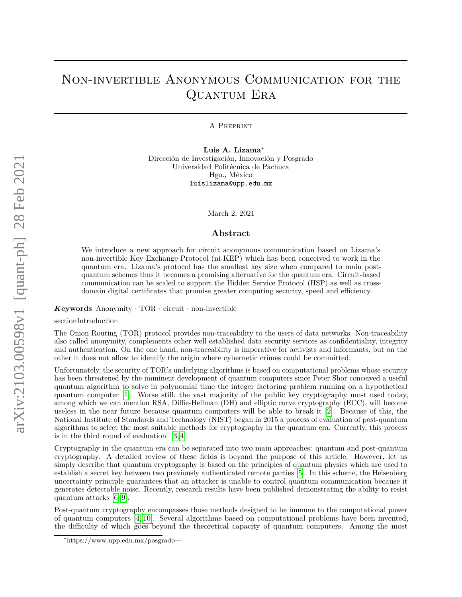# Non-invertible Anonymous Communication for the Quantum Era

A Preprint

**Luis A. Lizama**<sup>∗</sup> Dirección de Investigación, Innovación y Posgrado Universidad Politécnica de Pachuca Hgo., México luislizama@upp.edu.mx

March 2, 2021

## **Abstract**

We introduce a new approach for circuit anonymous communication based on Lizama's non-invertible Key Exchange Protocol (ni-KEP) which has been conceived to work in the quantum era. Lizama's protocol has the smallest key size when compared to main postquantum schemes thus it becomes a promising alternative for the quantum era. Circuit-based communication can be scaled to support the Hidden Service Protocol (HSP) as well as crossdomain digital certificates that promise greater computing security, speed and efficiency.

#### $K$ **eywords** Anonymity  $\cdot$  TOR  $\cdot$  circuit  $\cdot$  non-invertible

#### sectionIntroduction

The Onion Routing (TOR) protocol provides non-traceability to the users of data networks. Non-traceability also called anonymity, complements other well established data security services as confidentiality, integrity and authentication. On the one hand, non-traceability is imperative for activists and informants, but on the other it does not allow to identify the origin where cybernetic crimes could be committed.

Unfortunately, the security of TOR's underlying algorithms is based on computational problems whose security has been threatened by the imminent development of quantum computers since Peter Shor conceived a useful quantum algorithm to solve in polynomial time the integer factoring problem running on a hypothetical quantum computer [\[1\]](#page-7-0). Worse still, the vast majority of the public key cryptography most used today, among which we can mention RSA, Diffie-Hellman (DH) and elliptic curve cryptography (ECC), will become useless in the near future because quantum computers will be able to break it [\[2\]](#page-7-1). Because of this, the National Institute of Standards and Technology (NIST) began in 2015 a process of evaluation of post-quantum algorithms to select the most suitable methods for cryptography in the quantum era. Currently, this process is in the third round of evaluation [\[3,](#page-7-2) [4\]](#page-7-3).

Cryptography in the quantum era can be separated into two main approaches: quantum and post-quantum cryptography. A detailed review of these fields is beyond the purpose of this article. However, let us simply describe that quantum cryptography is based on the principles of quantum physics which are used to establish a secret key between two previously authenticated remote parties [\[5\]](#page-7-4). In this scheme, the Heisenberg uncertainty principle guarantees that an attacker is unable to control quantum communication because it generates detectable noise. Recently, research results have been published demonstrating the ability to resist quantum attacks [\[6](#page-7-5)[–9\]](#page-7-6).

Post-quantum cryptography encompasses those methods designed to be immune to the computational power of quantum computers [\[4,](#page-7-3) [10\]](#page-7-7). Several algorithms based on computational problems have been invented, the difficulty of which goes beyond the theoretical capacity of quantum computers. Among the most

<sup>∗</sup>https://www.upp.edu.mx/posgrado—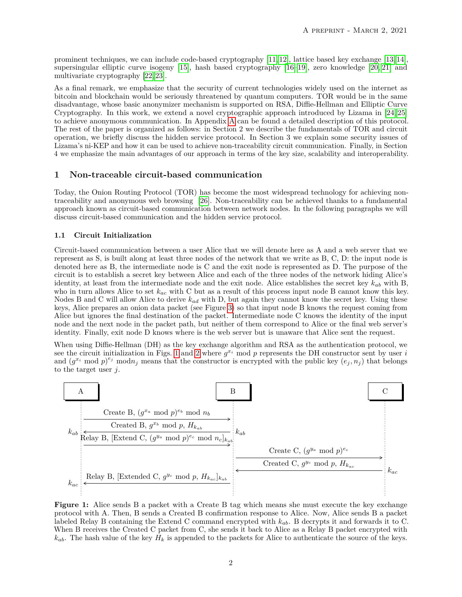prominent techniques, we can include code-based cryptography [\[11,](#page-7-8) [12\]](#page-8-0), lattice based key exchange [\[13,](#page-8-1) [14\]](#page-8-2), supersingular elliptic curve isogeny [\[15\]](#page-8-3), hash based cryptography [\[16–](#page-8-4)[19\]](#page-8-5), zero knowledge [\[20,](#page-8-6) [21\]](#page-8-7) and multivariate cryptography [\[22,](#page-8-8) [23\]](#page-8-9).

As a final remark, we emphasize that the security of current technologies widely used on the internet as bitcoin and blockchain would be seriously threatened by quantum computers. TOR would be in the same disadvantage, whose basic anonymizer mechanism is supported on RSA, Diffie-Hellman and Elliptic Curve Cryptography. In this work, we extend a novel cryptographic approach introduced by Lizama in [\[24,](#page-8-10) [25\]](#page-8-11) to achieve anonymous communication. In Appendix [A](#page-6-0) can be found a detailed description of this protocol. The rest of the paper is organized as follows: in Section 2 we describe the fundamentals of TOR and circuit operation, we briefly discuss the hidden service protocol. In Section 3 we explain some security issues of Lizama's ni-KEP and how it can be used to achieve non-traceability circuit communication. Finally, in Section 4 we emphasize the main advantages of our approach in terms of the key size, scalability and interoperability.

#### **1 Non-traceable circuit-based communication**

Today, the Onion Routing Protocol (TOR) has become the most widespread technology for achieving nontraceability and anonymous web browsing [\[26\]](#page-8-12). Non-traceability can be achieved thanks to a fundamental approach known as circuit-based communication between network nodes. In the following paragraphs we will discuss circuit-based communication and the hidden service protocol.

### **1.1 Circuit Initialization**

Circuit-based communication between a user Alice that we will denote here as A and a web server that we represent as S, is built along at least three nodes of the network that we write as B, C, D: the input node is denoted here as B, the intermediate node is C and the exit node is represented as D. The purpose of the circuit is to establish a secret key between Alice and each of the three nodes of the network hiding Alice's identity, at least from the intermediate node and the exit node. Alice establishes the secret key *kab* with B, who in turn allows Alice to set *kac* with C but as a result of this process input node B cannot know this key. Nodes B and C will allow Alice to derive *kad* with D, but again they cannot know the secret key. Using these keys, Alice prepares an onion data packet (see Figure [3\)](#page-2-0) so that input node B knows the request coming from Alice but ignores the final destination of the packet. Intermediate node C knows the identity of the input node and the next node in the packet path, but neither of them correspond to Alice or the final web server's identity. Finally, exit node D knows where is the web server but is unaware that Alice sent the request.

When using Diffie-Hellman (DH) as the key exchange algorithm and RSA as the authentication protocol, we see the circuit initialization in Figs. [1](#page-1-0) and [2](#page-2-1) where  $g^{x_i}$  mod p represents the DH constructor sent by user *i* and  $(g^{x_i} \mod p)^{e_j}$  mod $n_j$  means that the constructor is encrypted with the public key  $(e_j, n_j)$  that belongs to the target user *j*.

<span id="page-1-0"></span>

Figure 1: Alice sends B a packet with a Create B tag which means she must execute the key exchange protocol with A. Then, B sends a Created B confirmation response to Alice. Now, Alice sends B a packet labeled Relay B containing the Extend C command encrypted with *kab*. B decrypts it and forwards it to C. When B receives the Created C packet from C, she sends it back to Alice as a Relay B packet encrypted with  $k_{ab}$ . The hash value of the key  $H_k$  is appended to the packets for Alice to authenticate the source of the keys.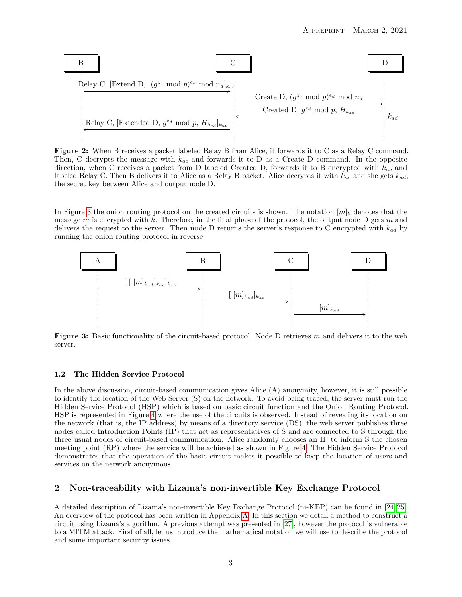<span id="page-2-1"></span>

**Figure 2:** When B receives a packet labeled Relay B from Alice, it forwards it to C as a Relay C command. Then, C decrypts the message with *kac* and forwards it to D as a Create D command. In the opposite direction, when C receives a packet from D labeled Created D, forwards it to B encrypted with *kac* and labeled Relay C. Then B delivers it to Alice as a Relay B packet. Alice decrypts it with *kac* and she gets *kad*, the secret key between Alice and output node D.

In Figure [3](#page-2-0) the onion routing protocol on the created circuits is shown. The notation  $[m]_k$  denotes that the message *m* is encrypted with *k*. Therefore, in the final phase of the protocol, the output node D gets *m* and delivers the request to the server. Then node D returns the server's response to C encrypted with *kad* by running the onion routing protocol in reverse.

<span id="page-2-0"></span>

**Figure 3:** Basic functionality of the circuit-based protocol. Node D retrieves *m* and delivers it to the web server.

#### **1.2 The Hidden Service Protocol**

In the above discussion, circuit-based communication gives Alice (A) anonymity, however, it is still possible to identify the location of the Web Server (S) on the network. To avoid being traced, the server must run the Hidden Service Protocol (HSP) which is based on basic circuit function and the Onion Routing Protocol. HSP is represented in Figure [4](#page-3-0) where the use of the circuits is observed. Instead of revealing its location on the network (that is, the IP address) by means of a directory service (DS), the web server publishes three nodes called Introduction Points (IP) that act as representatives of S and are connected to S through the three usual nodes of circuit-based communication. Alice randomly chooses an IP to inform S the chosen meeting point (RP) where the service will be achieved as shown in Figure [4.](#page-3-0) The Hidden Service Protocol demonstrates that the operation of the basic circuit makes it possible to keep the location of users and services on the network anonymous.

# **2 Non-traceability with Lizama's non-invertible Key Exchange Protocol**

A detailed description of Lizama's non-invertible Key Exchange Protocol (ni-KEP) can be found in [\[24,](#page-8-10) [25\]](#page-8-11). An overview of the protocol has been written in Appendix [A.](#page-6-0) In this section we detail a method to construct a circuit using Lizama's algorithm. A previous attempt was presented in [\[27\]](#page-8-13), however the protocol is vulnerable to a MITM attack. First of all, let us introduce the mathematical notation we will use to describe the protocol and some important security issues.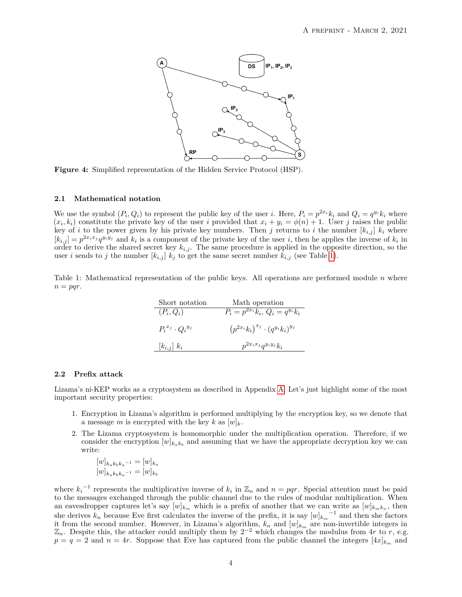<span id="page-3-0"></span>

**Figure 4:** Simplified representation of the Hidden Service Protocol (HSP).

#### **2.1 Mathematical notation**

We use the symbol  $(P_i, Q_i)$  to represent the public key of the user *i*. Here,  $P_i = p^{2x_i} k_i$  and  $Q_i = q^{y_i} k_i$  where  $(x_i, k_i)$  constitute the private key of the user *i* provided that  $x_i + y_i = \phi(n) + 1$ . User *j* raises the public key of *i* to the power given by his private key numbers. Then *j* returns to *i* the number  $[k_{i,j}]$   $k_i$  where  $[k_{i,j}] = p^{2x_i x_j} q^{y_i y_j}$  and  $k_i$  is a component of the private key of the user i, then he applies the inverse of  $k_i$  in order to derive the shared secret key  $k_{i,j}$ . The same procedure is applied in the opposite direction, so the user *i* sends to *j* the number  $[k_{i,j}]$   $k_j$  to get the same secret number  $k_{i,j}$  (see Table [1\)](#page-3-1).

<span id="page-3-1"></span>Table 1: Mathematical representation of the public keys. All operations are performed module *n* where  $n = pqr$ .

| Short notation              | Math operation                                 |
|-----------------------------|------------------------------------------------|
| $(P_i,Q_i)$                 | $P_i = p^{2x_i} k_i, Q_i = q^{y_i} k_i$        |
| $P_i^{x_j} \cdot Q_i^{y_j}$ | $(p^{2x_i}k_i)^{x_j} \cdot (q^{y_i}k_i)^{y_j}$ |
| $[k_{i,j}]$ $k_i$           | $p^{2x_ix_j}q^{y_iy_j}k_i$                     |

#### **2.2 Prefix attack**

Lizama's ni-KEP works as a cryptosystem as described in Appendix [A.](#page-6-0) Let's just highlight some of the most important security properties:

- 1. Encryption in Lizama's algorithm is performed multiplying by the encryption key, so we denote that a message *m* is encrypted with the key *k* as  $[w]_k$ .
- 2. The Lizama cryptosystem is homomorphic under the multiplication operation. Therefore, if we consider the encryption  $[w]_{k_a k_b}$  and assuming that we have the appropriate decryption key we can write:

$$
[w]_{k_{a}k_{b}k_{a}-1} = [w]_{k_{a}}
$$

$$
[w]_{k_{a}k_{b}k_{a}-1} = [w]_{k_{b}}
$$

where  $k_i^{-1}$  represents the multiplicative inverse of  $k_i$  in  $\mathbb{Z}_n$  and  $n = pqr$ . Special attention must be paid to the messages exchanged through the public channel due to the rules of modular multiplication. When an eavesdropper captures let's say  $[w]_{k_m}$  which is a prefix of another that we can write as  $[w]_{k_m k_n}$ , then she derives  $k_n$  because Eve first calculates the inverse of the prefix, it is say  $[w]_{k_m}$ <sup>-1</sup> and then she factors it from the second number. However, in Lizama's algorithm,  $k_n$  and  $[w]_{k_m}$  are non-invertible integers in  $\mathbb{Z}_n$ . Despite this, the attacker could multiply them by  $2^{-2}$  which changes the modulus from 4*r* to *r*, e.g.  $p = q = 2$  and  $n = 4r$ . Suppose that Eve has captured from the public channel the integers  $[4x]_{k_m}$  and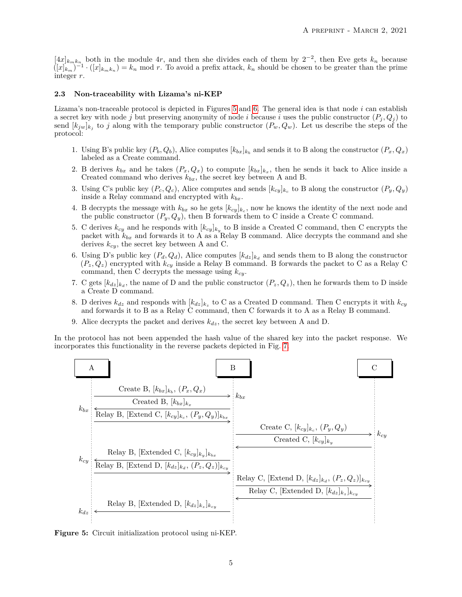$[4x]_{k_m k_{n_1}}$  both in the module 4r, and then she divides each of them by  $2^{-2}$ , then Eve gets  $k_n$  because  $([x]_{k_m})^{-1} \cdot ([x]_{k_m k_n}) = k_n \mod r$ . To avoid a prefix attack,  $k_n$  should be chosen to be greater than the prime integer *r*.

#### **2.3 Non-traceability with Lizama's ni-KEP**

Lizama's non-traceable protocol is depicted in Figures [5](#page-4-0) and [6.](#page-5-0) The general idea is that node *i* can establish a secret key with node *j* but preserving anonymity of node *i* because *i* uses the public constructor  $(P_i, Q_i)$  to send  $[k_{jw}]_{k_j}$  to *j* along with the temporary public constructor  $(P_w, Q_w)$ . Let us describe the steps of the protocol:

- 1. Using B's public key  $(P_b, Q_b)$ , Alice computes  $[k_{bx}]_{k_b}$  and sends it to B along the constructor  $(P_x, Q_x)$ labeled as a Create command.
- 2. B derives  $k_{bx}$  and he takes  $(P_x, Q_x)$  to compute  $[k_{bx}]_{k_x}$ , then he sends it back to Alice inside a Created command who derives  $k_{bx}$ , the secret key between A and B.
- 3. Using C's public key  $(P_c, Q_c)$ , Alice computes and sends  $[k_{cy}]_{k_c}$  to B along the constructor  $(P_y, Q_y)$ inside a Relay command and encrypted with *kbx*.
- 4. B decrypts the message with  $k_{bx}$  so he gets  $[k_{cy}]_{k_c}$ , now he knows the identity of the next node and the public constructor  $(P_y, Q_y)$ , then B forwards them to C inside a Create C command.
- 5. C derives  $k_{cy}$  and he responds with  $[k_{cy}]_{k_y}$  to B inside a Created C command, then C encrypts the packet with  $k_{bx}$  and forwards it to A as a Relay B command. Alice decrypts the command and she derives *kcy*, the secret key between A and C.
- 6. Using D's public key  $(P_d, Q_d)$ , Alice computes  $[k_{dz}]_{k_d}$  and sends them to B along the constructor  $(P_z, Q_z)$  encrypted with  $k_{cy}$  inside a Relay B command. B forwards the packet to C as a Relay C command, then C decrypts the message using *kcy*.
- 7. C gets  $[k_{dz}]_{k_d}$ , the name of D and the public constructor  $(P_z, Q_z)$ , then he forwards them to D inside a Create D command.
- 8. D derives  $k_{dz}$  and responds with  $[k_{dz}]_{k_z}$  to C as a Created D command. Then C encrypts it with  $k_{cy}$ and forwards it to B as a Relay C command, then C forwards it to A as a Relay B command.
- 9. Alice decrypts the packet and derives *kdz*, the secret key between A and D.

In the protocol has not been appended the hash value of the shared key into the packet response. We incorporates this functionality in the reverse packets depicted in Fig. [7.](#page-5-1)

<span id="page-4-0"></span>

**Figure 5:** Circuit initialization protocol using ni-KEP.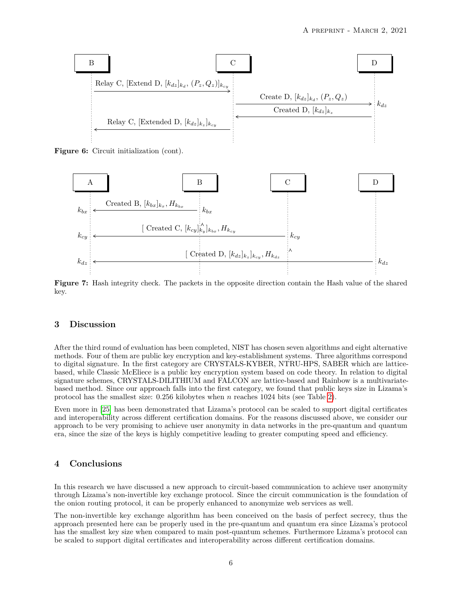<span id="page-5-0"></span>

**Figure 6:** Circuit initialization (cont).

<span id="page-5-1"></span>

**Figure 7:** Hash integrity check. The packets in the opposite direction contain the Hash value of the shared key.

## **3 Discussion**

After the third round of evaluation has been completed, NIST has chosen seven algorithms and eight alternative methods. Four of them are public key encryption and key-establishment systems. Three algorithms correspond to digital signature. In the first category are CRYSTALS-KYBER, NTRU-HPS, SABER which are latticebased, while Classic McEliece is a public key encryption system based on code theory. In relation to digital signature schemes, CRYSTALS-DILITHIUM and FALCON are lattice-based and Rainbow is a multivariatebased method. Since our approach falls into the first category, we found that public keys size in Lizama's protocol has the smallest size: 0.256 kilobytes when *n* reaches 1024 bits (see Table [2\)](#page-6-1).

Even more in [\[25\]](#page-8-11) has been demonstrated that Lizama's protocol can be scaled to support digital certificates and interoperability across different certification domains. For the reasons discussed above, we consider our approach to be very promising to achieve user anonymity in data networks in the pre-quantum and quantum era, since the size of the keys is highly competitive leading to greater computing speed and efficiency.

## **4 Conclusions**

In this research we have discussed a new approach to circuit-based communication to achieve user anonymity through Lizama's non-invertible key exchange protocol. Since the circuit communication is the foundation of the onion routing protocol, it can be properly enhanced to anonymize web services as well.

The non-invertible key exchange algorithm has been conceived on the basis of perfect secrecy, thus the approach presented here can be properly used in the pre-quantum and quantum era since Lizama's protocol has the smallest key size when compared to main post-quantum schemes. Furthermore Lizama's protocol can be scaled to support digital certificates and interoperability across different certification domains.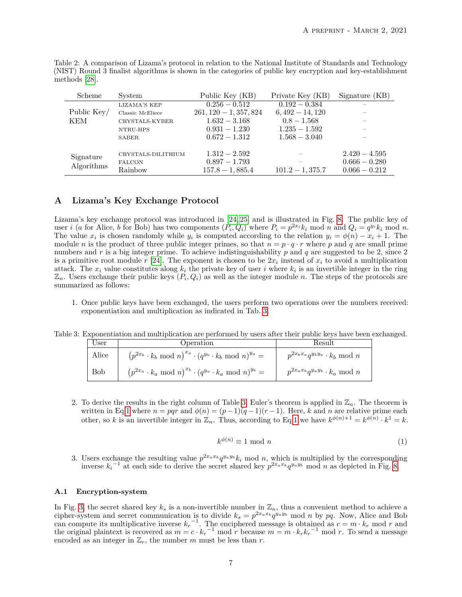| Scheme                  | System             | Public Key (KB)            | Private Key (KB)  | Signature (KB)  |
|-------------------------|--------------------|----------------------------|-------------------|-----------------|
|                         | LIZAMA'S KEP       | $\overline{0.256 - 0.512}$ | $0.192 - 0.384$   |                 |
| Public Key/             | Classic McEliece   | $261, 120 - 1, 357, 824$   | $6,492 - 14,120$  |                 |
| KEM<br>CRYSTALS-KYBER   |                    | $1.632 - 3.168$            | $0.8 - 1.568$     |                 |
|                         | NTRU-HPS           | $0.931 - 1.230$            | $1.235 - 1.592$   |                 |
|                         | SABER              | $0.672 - 1.312$            | $1.568 - 3.040$   |                 |
| Signature<br>Algorithms | CRYSTALS-DILITHIUM | $1.312 - 2.592$            |                   | $2.420 - 4.595$ |
|                         | <b>FALCON</b>      | $0.897 - 1.793$            |                   | $0.666 - 0.280$ |
|                         | Rainbow            | $157.8 - 1,885.4$          | $101.2 - 1,375.7$ | $0.066 - 0.212$ |

<span id="page-6-1"></span>Table 2: A comparison of Lizama's protocol in relation to the National Institute of Standards and Technology (NIST) Round 3 finalist algorithms is shown in the categories of public key encryption and key-establishment methods [\[28\]](#page-8-14).

# <span id="page-6-0"></span>**A Lizama's Key Exchange Protocol**

Lizama's key exchange protocol was introduced in [\[24,](#page-8-10) [25\]](#page-8-11) and is illustrated in Fig. [8.](#page-7-9) The public key of user *i* (*a* for Alice, *b* for Bob) has two components  $(P_i, Q_i)$  where  $P_i = p^{2x_i} k_i \text{ mod } n$  and  $Q_i = q^{y_i} k_i \text{ mod } n$ . The value  $x_i$  is chosen randomly while  $y_i$  is computed according to the relation  $y_i = \phi(n) - x_i + 1$ . The module *n* is the product of three public integer primes, so that  $n = p \cdot q \cdot r$  where *p* and *q* are small prime numbers and *r* is a big integer prime. To achieve indistinguishability *p* and *q* are suggested to be 2, since 2 is a primitive root module  $r$  [\[24\]](#page-8-10). The exponent is chosen to be  $2x_i$  instead of  $x_i$  to avoid a multiplication attack. The  $x_i$  value constitutes along  $k_i$  the private key of user *i* where  $k_i$  is an invertible integer in the ring  $\mathbb{Z}_n$ . Users exchange their public keys  $(P_i, Q_i)$  as well as the integer module *n*. The steps of the protocols are summarized as follows:

1. Once public keys have been exchanged, the users perform two operations over the numbers received: exponentiation and multiplication as indicated in Tab. [3.](#page-6-2)

<span id="page-6-2"></span>

| Table 3: Exponentiation and multiplication are performed by users after their public keys have been exchanged. |  |  |  |
|----------------------------------------------------------------------------------------------------------------|--|--|--|
|                                                                                                                |  |  |  |

| User       | Operation                                                                    | Result                                      |
|------------|------------------------------------------------------------------------------|---------------------------------------------|
| Alice      | $(p^{2x_b} \cdot k_b \mod n)^{x_a} \cdot (q^{y_b} \cdot k_b \mod n)^{y_a} =$ | $p^{2x_bx_a}q^{y_by_a} \cdot k_b \mod n$    |
| <b>Bob</b> | $(p^{2x_a} \cdot k_a \mod n)^{x_b} \cdot (q^{y_a} \cdot k_a \mod n)^{y_b} =$ | $p^{2x_a x_b} q^{y_a y_b} \cdot k_a \mod n$ |

<span id="page-6-3"></span>2. To derive the results in the right column of Table [3,](#page-6-2) Euler's theorem is applied in  $\mathbb{Z}_n$ . The theorem is written in Eq[.1](#page-6-3) where  $n = pqr$  and  $\phi(n) = (p-1)(q-1)(r-1)$ . Here, *k* and *n* are relative prime each other, so *k* is an invertible integer in  $\mathbb{Z}_n$ . Thus, according to Eq[.1](#page-6-3) we have  $k^{\phi(n)+1} = k^{\phi(n)} \cdot k^1 = k$ .

$$
k^{\phi(n)} \equiv 1 \text{ mod } n \tag{1}
$$

3. Users exchange the resulting value  $p^{2x_a x_b} q^{y_a y_b} k_i \text{ mod } n$ , which is multiplied by the corresponding inverse  $k_i^{-1}$  at each side to derive the secret shared key  $p^{2x_a x_b} q^{y_a y_b}$  mod *n* as depicted in Fig. [8.](#page-7-9)

# **A.1 Encryption-system**

In Fig. [3,](#page-2-0) the secret shared key  $k_s$  is a non-invertible number in  $\mathbb{Z}_n$ , thus a convenient method to achieve a cipher-system and secret communication is to divide  $k_s = p^{2x_a x_b} q^{y_a y_b} \mod n$  by pq. Now, Alice and Bob can compute its multiplicative inverse  $k_r^{-1}$ . The enciphered message is obtained as  $c = m \cdot k_r$  mod *r* and the original plaintext is recovered as  $m = c \cdot k_r^{-1} \mod r$  because  $m = m \cdot k_r k_r^{-1} \mod r$ . To send a message encoded as an integer in  $\mathbb{Z}_r$ , the number *m* must be less than *r*.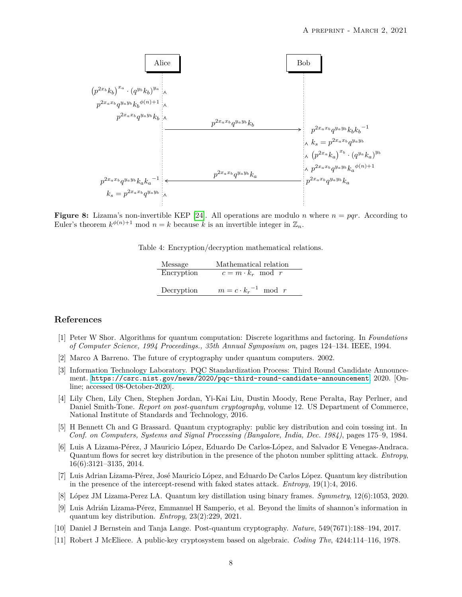<span id="page-7-9"></span>

**Figure 8:** Lizama's non-invertible KEP [\[24\]](#page-8-10). All operations are modulo *n* where  $n = pqr$ . According to Euler's theorem  $k^{\phi(n)+1}$  mod  $n = k$  because  $k$  is an invertible integer in  $\mathbb{Z}_n$ .

Table 4: Encryption/decryption mathematical relations.

| Message    | Mathematical relation         |
|------------|-------------------------------|
| Encryption | $c = m \cdot k_r \mod r$      |
|            |                               |
| Decryption | $m = c \cdot k_r^{-1} \mod r$ |

## **References**

- <span id="page-7-0"></span>[1] Peter W Shor. Algorithms for quantum computation: Discrete logarithms and factoring. In *Foundations of Computer Science, 1994 Proceedings., 35th Annual Symposium on*, pages 124–134. IEEE, 1994.
- <span id="page-7-1"></span>[2] Marco A Barreno. The future of cryptography under quantum computers. 2002.
- <span id="page-7-2"></span>[3] Information Technology Laboratory. PQC Standardization Process: Third Round Candidate Announcement. <https://csrc.nist.gov/news/2020/pqc-third-round-candidate-announcement>, 2020. [Online; accessed 08-October-2020].
- <span id="page-7-3"></span>[4] Lily Chen, Lily Chen, Stephen Jordan, Yi-Kai Liu, Dustin Moody, Rene Peralta, Ray Perlner, and Daniel Smith-Tone. *Report on post-quantum cryptography*, volume 12. US Department of Commerce, National Institute of Standards and Technology, 2016.
- <span id="page-7-4"></span>[5] H Bennett Ch and G Brassard. Quantum cryptography: public key distribution and coin tossing int. In *Conf. on Computers, Systems and Signal Processing (Bangalore, India, Dec. 1984)*, pages 175–9, 1984.
- <span id="page-7-5"></span>[6] Luis A Lizama-Pérez, J Mauricio López, Eduardo De Carlos-López, and Salvador E Venegas-Andraca. Quantum flows for secret key distribution in the presence of the photon number splitting attack. *Entropy*, 16(6):3121–3135, 2014.
- [7] Luis Adrian Lizama-Pérez, José Mauricio López, and Eduardo De Carlos López. Quantum key distribution in the presence of the intercept-resend with faked states attack. *Entropy*, 19(1):4, 2016.
- [8] López JM Lizama-Perez LA. Quantum key distillation using binary frames. *Symmetry*, 12(6):1053, 2020.
- <span id="page-7-6"></span>[9] Luis Adrián Lizama-Pérez, Emmanuel H Samperio, et al. Beyond the limits of shannon's information in quantum key distribution. *Entropy*, 23(2):229, 2021.
- <span id="page-7-7"></span>[10] Daniel J Bernstein and Tanja Lange. Post-quantum cryptography. *Nature*, 549(7671):188–194, 2017.
- <span id="page-7-8"></span>[11] Robert J McEliece. A public-key cryptosystem based on algebraic. *Coding Thv*, 4244:114–116, 1978.